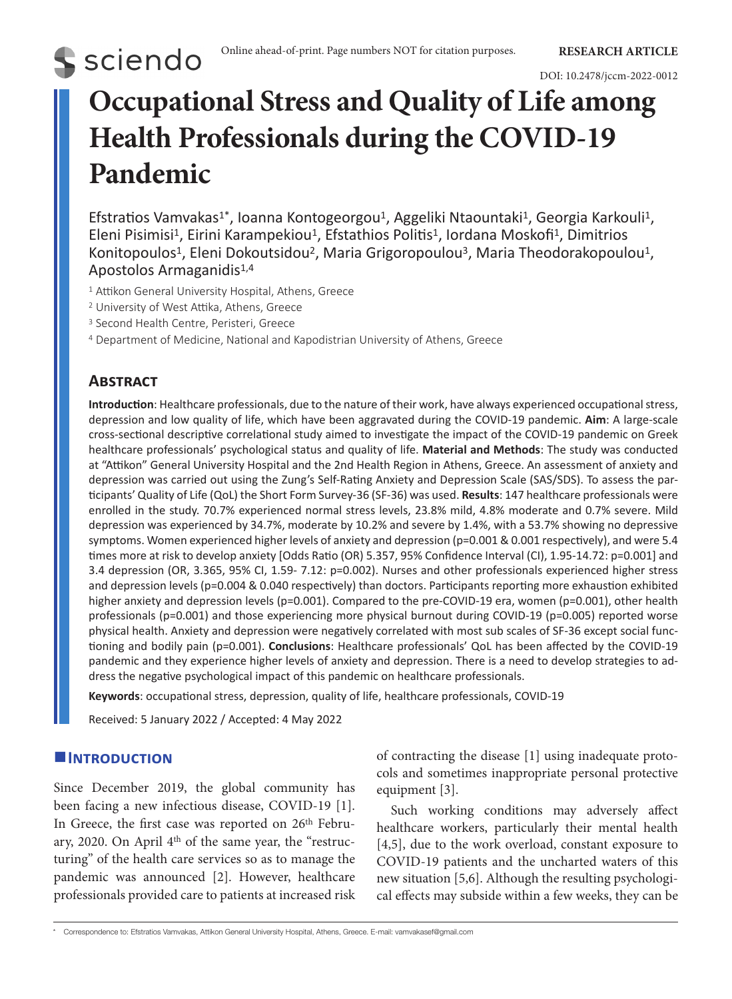### DOI: 10.2478/jccm-2022-0012

# **Occupational Stress and Quality of Life among Health Professionals during the COVID-19 Pandemic**

Efstratios Vamvakas<sup>1</sup>\*, Ioanna Kontogeorgou<sup>1</sup>, Aggeliki Ntaountaki<sup>1</sup>, Georgia Karkouli<sup>1</sup>, Eleni Pisimisi<sup>1</sup>, Eirini Karampekiou<sup>1</sup>, Efstathios Politis<sup>1</sup>, Iordana Moskofi<sup>1</sup>, Dimitrios Konitopoulos<sup>1</sup>, Eleni Dokoutsidou<sup>2</sup>, Maria Grigoropoulou<sup>3</sup>, Maria Theodorakopoulou<sup>1</sup>, Apostolos Armaganidis<sup>1,4</sup>

- <sup>1</sup> Attikon General University Hospital, Athens, Greece
- <sup>2</sup> University of West Attika, Athens, Greece
- <sup>3</sup> Second Health Centre, Peristeri, Greece
- <sup>4</sup> Department of Medicine, National and Kapodistrian University of Athens, Greece

# **Abstract**

**S** sciendo

**Introduction**: Healthcare professionals, due to the nature of their work, have always experienced occupational stress, depression and low quality of life, which have been aggravated during the COVID-19 pandemic. **Aim**: A large-scale cross-sectional descriptive correlational study aimed to investigate the impact of the COVID-19 pandemic on Greek healthcare professionals' psychological status and quality of life. **Material and Methods**: The study was conducted at "Attikon" General University Hospital and the 2nd Health Region in Athens, Greece. An assessment of anxiety and depression was carried out using the Zung's Self-Rating Anxiety and Depression Scale (SAS/SDS). To assess the participants' Quality of Life (QoL) the Short Form Survey-36 (SF-36) was used. **Results**: 147 healthcare professionals were enrolled in the study. 70.7% experienced normal stress levels, 23.8% mild, 4.8% moderate and 0.7% severe. Mild depression was experienced by 34.7%, moderate by 10.2% and severe by 1.4%, with a 53.7% showing no depressive symptoms. Women experienced higher levels of anxiety and depression (p=0.001 & 0.001 respectively), and were 5.4 times more at risk to develop anxiety [Odds Ratio (OR) 5.357, 95% Confidence Interval (CI), 1.95-14.72: p=0.001] and 3.4 depression (OR, 3.365, 95% CI, 1.59- 7.12: p=0.002). Nurses and other professionals experienced higher stress and depression levels (p=0.004 & 0.040 respectively) than doctors. Participants reporting more exhaustion exhibited higher anxiety and depression levels (p=0.001). Compared to the pre-COVID-19 era, women (p=0.001), other health professionals (p=0.001) and those experiencing more physical burnout during COVID-19 (p=0.005) reported worse physical health. Anxiety and depression were negatively correlated with most sub scales of SF-36 except social functioning and bodily pain (p=0.001). **Conclusions**: Healthcare professionals' QoL has been affected by the COVID-19 pandemic and they experience higher levels of anxiety and depression. There is a need to develop strategies to address the negative psychological impact of this pandemic on healthcare professionals.

**Keywords**: occupational stress, depression, quality of life, healthcare professionals, COVID-19

Received: 5 January 2022 / Accepted: 4 May 2022

# **Introduction**

Since December 2019, the global community has been facing a new infectious disease, COVID-19 [1]. In Greece, the first case was reported on 26<sup>th</sup> February, 2020. On April 4<sup>th</sup> of the same year, the "restructuring" of the health care services so as to manage the pandemic was announced [2]. However, healthcare professionals provided care to patients at increased risk of contracting the disease [1] using inadequate protocols and sometimes inappropriate personal protective equipment [3].

Such working conditions may adversely affect healthcare workers, particularly their mental health [4,5], due to the work overload, constant exposure to COVID-19 patients and the uncharted waters of this new situation [5,6]. Although the resulting psychological effects may subside within a few weeks, they can be

<sup>\*</sup> Correspondence to: Efstratios Vamvakas, Attikon General University Hospital, Athens, Greece. E-mail: vamvakasef@gmail.com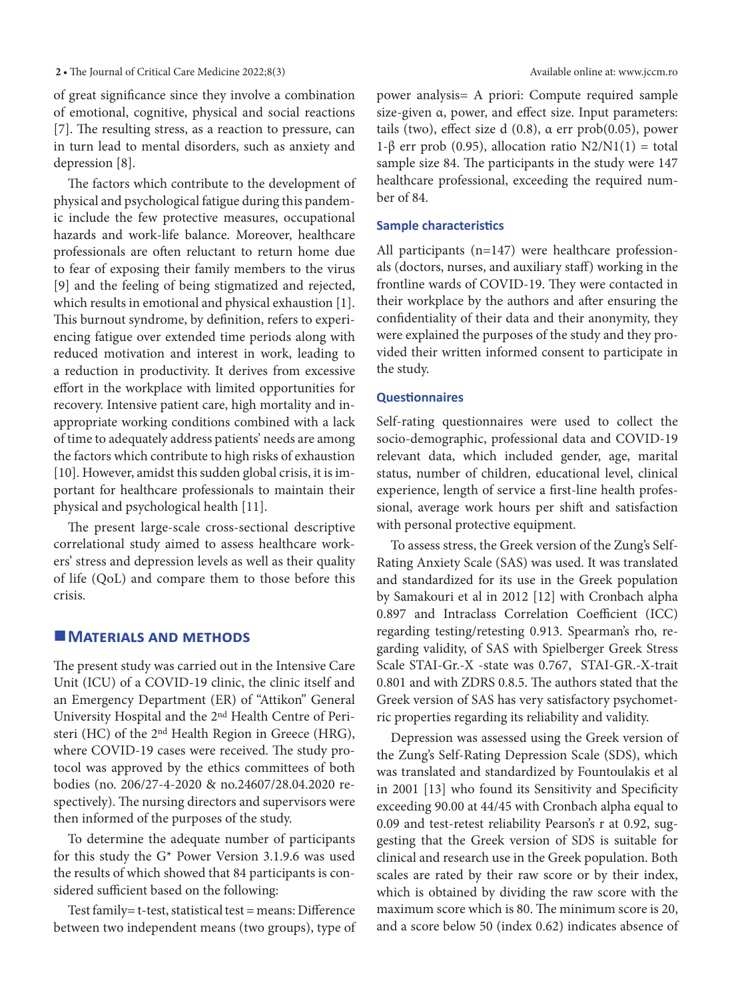### 2 • The Journal of Critical Care Medicine 2022;8(3) Available online at: www.jccm.ro

of great significance since they involve a combination of emotional, cognitive, physical and social reactions [7]. The resulting stress, as a reaction to pressure, can in turn lead to mental disorders, such as anxiety and depression [8].

The factors which contribute to the development of physical and psychological fatigue during this pandemic include the few protective measures, occupational hazards and work-life balance. Moreover, healthcare professionals are often reluctant to return home due to fear of exposing their family members to the virus [9] and the feeling of being stigmatized and rejected, which results in emotional and physical exhaustion [1]. This burnout syndrome, by definition, refers to experiencing fatigue over extended time periods along with reduced motivation and interest in work, leading to a reduction in productivity. It derives from excessive effort in the workplace with limited opportunities for recovery. Intensive patient care, high mortality and inappropriate working conditions combined with a lack of time to adequately address patients' needs are among the factors which contribute to high risks of exhaustion [10]. However, amidst this sudden global crisis, it is important for healthcare professionals to maintain their physical and psychological health [11].

The present large-scale cross-sectional descriptive correlational study aimed to assess healthcare workers' stress and depression levels as well as their quality of life (QoL) and compare them to those before this crisis.

# **MATERIALS AND METHODS**

The present study was carried out in the Intensive Care Unit (ICU) of a COVID-19 clinic, the clinic itself and an Emergency Department (ER) of "Attikon" General University Hospital and the 2nd Health Centre of Peristeri (HC) of the 2nd Health Region in Greece (HRG), where COVID-19 cases were received. The study protocol was approved by the ethics committees of both bodies (no. 206/27-4-2020 & no.24607/28.04.2020 respectively). The nursing directors and supervisors were then informed of the purposes of the study.

To determine the adequate number of participants for this study the G\* Power Version 3.1.9.6 was used the results of which showed that 84 participants is considered sufficient based on the following:

Test family= t-test, statistical test = means: Difference between two independent means (two groups), type of power analysis= A priori: Compute required sample size-given α, power, and effect size. Input parameters: tails (two), effect size d (0.8), α err prob(0.05), power 1-β err prob (0.95), allocation ratio N2/N1(1) = total sample size 84. The participants in the study were 147 healthcare professional, exceeding the required number of 84.

### **Sample characteristics**

All participants (n=147) were healthcare professionals (doctors, nurses, and auxiliary staff) working in the frontline wards of COVID-19. They were contacted in their workplace by the authors and after ensuring the confidentiality of their data and their anonymity, they were explained the purposes of the study and they provided their written informed consent to participate in the study.

### **Questionnaires**

Self-rating questionnaires were used to collect the socio-demographic, professional data and COVID-19 relevant data, which included gender, age, marital status, number of children, educational level, clinical experience, length of service a first-line health professional, average work hours per shift and satisfaction with personal protective equipment.

To assess stress, the Greek version of the Zung's Self-Rating Anxiety Scale (SAS) was used. It was translated and standardized for its use in the Greek population by Samakouri et al in 2012 [12] with Cronbach alpha 0.897 and Intraclass Correlation Coefficient (ICC) regarding testing/retesting 0.913. Spearman's rho, regarding validity, of SAS with Spielberger Greek Stress Scale STAI-Gr.-X -state was 0.767, STAI-GR.-X-trait 0.801 and with ZDRS 0.8.5. The authors stated that the Greek version of SAS has very satisfactory psychometric properties regarding its reliability and validity.

Depression was assessed using the Greek version of the Zung's Self-Rating Depression Scale (SDS), which was translated and standardized by Fountoulakis et al in 2001 [13] who found its Sensitivity and Specificity exceeding 90.00 at 44/45 with Cronbach alpha equal to 0.09 and test-retest reliability Pearson's r at 0.92, suggesting that the Greek version of SDS is suitable for clinical and research use in the Greek population. Both scales are rated by their raw score or by their index, which is obtained by dividing the raw score with the maximum score which is 80. The minimum score is 20, and a score below 50 (index 0.62) indicates absence of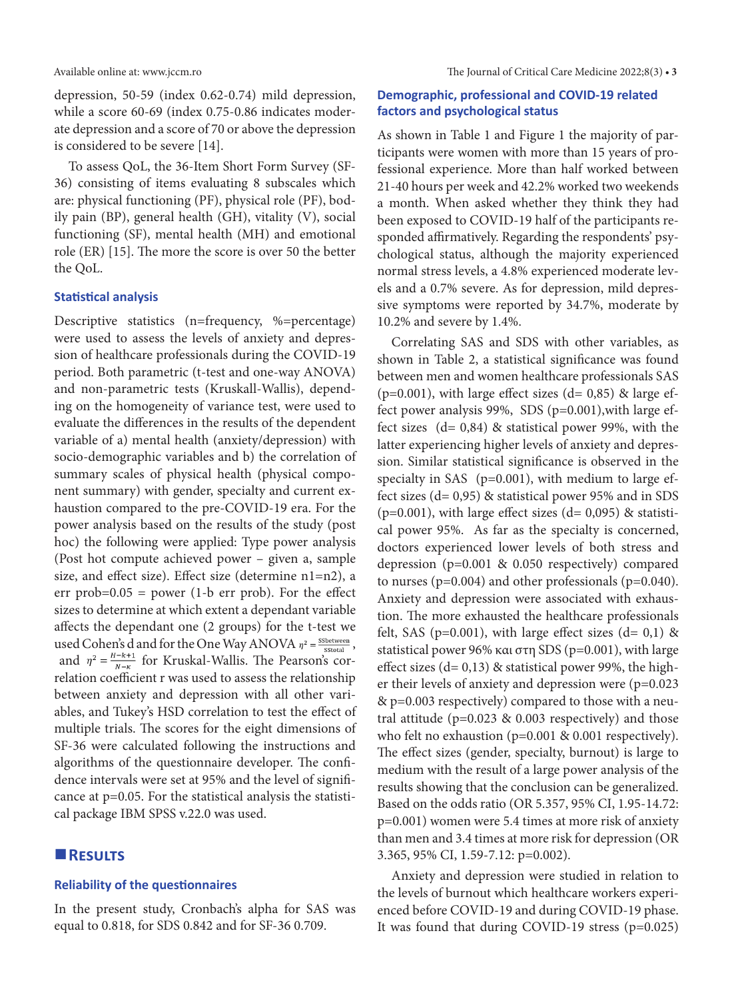Available online at: www.jccm.ro The Journal of Critical Care Medicine 2022;8(3) **• 3**

depression, 50-59 (index 0.62-0.74) mild depression, while a score 60-69 (index 0.75-0.86 indicates moderate depression and a score of 70 or above the depression is considered to be severe [14].

To assess QoL, the 36-Item Short Form Survey (SF-36) consisting of items evaluating 8 subscales which are: physical functioning (PF), physical role (PF), bodily pain (BP), general health (GH), vitality (V), social functioning (SF), mental health (MH) and emotional role (ER) [15]. The more the score is over 50 the better the QoL.

### **Statistical analysis**

Descriptive statistics (n=frequency, %=percentage) were used to assess the levels of anxiety and depression of healthcare professionals during the COVID-19 period. Both parametric (t-test and one-way ANOVA) and non-parametric tests (Kruskall-Wallis), depending on the homogeneity of variance test, were used to evaluate the differences in the results of the dependent variable of a) mental health (anxiety/depression) with socio-demographic variables and b) the correlation of summary scales of physical health (physical component summary) with gender, specialty and current exhaustion compared to the pre-COVID-19 era. For the power analysis based on the results of the study (post hoc) the following were applied: Type power analysis (Post hot compute achieved power – given a, sample size, and effect size). Effect size (determine n1=n2), a err prob= $0.05$  = power (1-b err prob). For the effect sizes to determine at which extent a dependant variable affects the dependant one (2 groups) for the t-test we used Cohen's d and for the One Way ANOVA  $\eta^2 = \frac{\text{S5 between}}{\text{Stotal}}$ , and  $\eta^2 = \frac{H-k+1}{N-k}$  for Kruskal-Wallis. The Pearson's correlation coefficient r was used to assess the relationship between anxiety and depression with all other variables, and Tukey's HSD correlation to test the effect of multiple trials. The scores for the eight dimensions of SF-36 were calculated following the instructions and algorithms of the questionnaire developer. The confidence intervals were set at 95% and the level of significance at p=0.05. For the statistical analysis the statistical package IBM SPSS v.22.0 was used.

# **Results**

### **Reliability of the questionnaires**

In the present study, Cronbach's alpha for SAS was equal to 0.818, for SDS 0.842 and for SF-36 0.709.

# **Demographic, professional and COVID-19 related factors and psychological status**

As shown in Table 1 and Figure 1 the majority of participants were women with more than 15 years of professional experience. More than half worked between 21-40 hours per week and 42.2% worked two weekends a month. When asked whether they think they had been exposed to COVID-19 half of the participants responded affirmatively. Regarding the respondents' psychological status, although the majority experienced normal stress levels, a 4.8% experienced moderate levels and a 0.7% severe. As for depression, mild depressive symptoms were reported by 34.7%, moderate by 10.2% and severe by 1.4%.

Correlating SAS and SDS with other variables, as shown in Table 2, a statistical significance was found between men and women healthcare professionals SAS ( $p=0.001$ ), with large effect sizes ( $d= 0.85$ ) & large effect power analysis 99%, SDS (p=0.001),with large effect sizes  $(d= 0.84)$  & statistical power 99%, with the latter experiencing higher levels of anxiety and depression. Similar statistical significance is observed in the specialty in SAS (p=0.001), with medium to large effect sizes (d= 0,95) & statistical power 95% and in SDS ( $p=0.001$ ), with large effect sizes ( $d= 0.095$ ) & statistical power 95%. As far as the specialty is concerned, doctors experienced lower levels of both stress and depression (p=0.001 & 0.050 respectively) compared to nurses ( $p=0.004$ ) and other professionals ( $p=0.040$ ). Anxiety and depression were associated with exhaustion. The more exhausted the healthcare professionals felt, SAS ( $p=0.001$ ), with large effect sizes ( $d= 0.1$ ) & statistical power 96% και στη SDS (p=0.001), with large effect sizes  $(d= 0.13)$  & statistical power 99%, the higher their levels of anxiety and depression were (p=0.023 & p=0.003 respectively) compared to those with a neutral attitude (p=0.023 & 0.003 respectively) and those who felt no exhaustion (p=0.001 & 0.001 respectively). The effect sizes (gender, specialty, burnout) is large to medium with the result of a large power analysis of the results showing that the conclusion can be generalized. Based on the odds ratio (OR 5.357, 95% CI, 1.95-14.72: p=0.001) women were 5.4 times at more risk of anxiety than men and 3.4 times at more risk for depression (OR 3.365, 95% CI, 1.59-7.12: p=0.002).

Anxiety and depression were studied in relation to the levels of burnout which healthcare workers experienced before COVID-19 and during COVID-19 phase. It was found that during COVID-19 stress (p=0.025)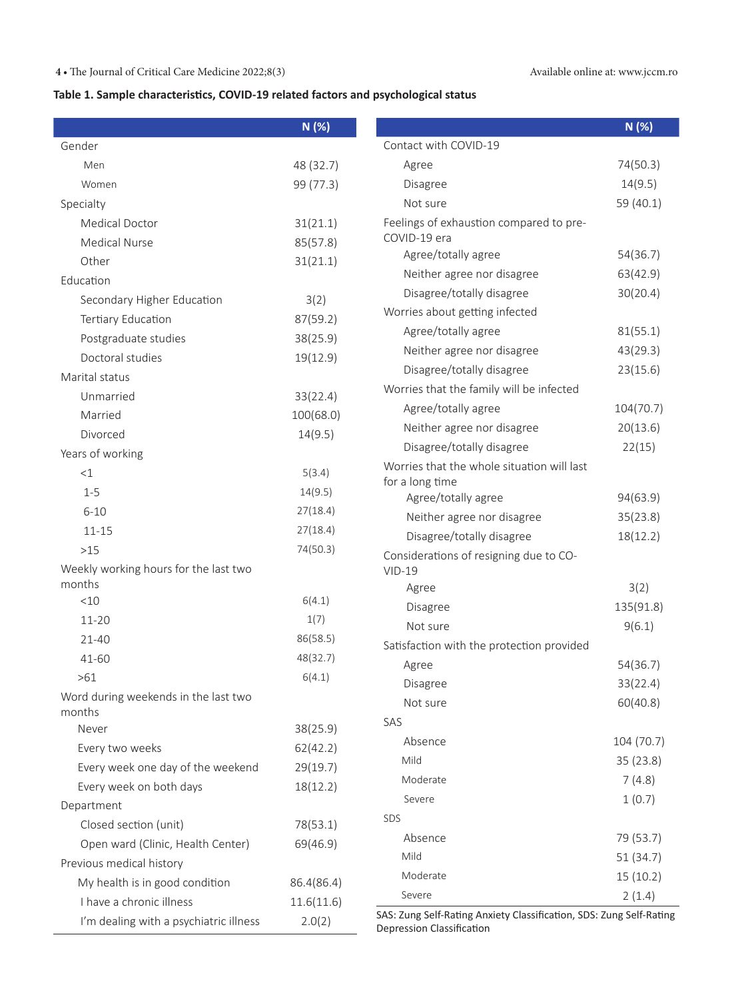# **4 •** The Journal of Critical Care Medicine 2022;8(3) Available online at: www.jccm.ro

# **Table 1. Sample characteristics, COVID-19 related factors and psychological status**

|                                        | N (%)      |                                                                                                  | N (%)                |
|----------------------------------------|------------|--------------------------------------------------------------------------------------------------|----------------------|
| Gender                                 |            | Contact with COVID-19                                                                            |                      |
| Men                                    | 48 (32.7)  | Agree                                                                                            | 74(50.3)             |
| Women                                  | 99 (77.3)  | Disagree                                                                                         | 14(9.5)              |
| Specialty                              |            | Not sure                                                                                         | 59 (40.1)            |
| <b>Medical Doctor</b>                  | 31(21.1)   | Feelings of exhaustion compared to pre-                                                          |                      |
| <b>Medical Nurse</b>                   | 85(57.8)   | COVID-19 era                                                                                     |                      |
| Other                                  | 31(21.1)   | Agree/totally agree                                                                              | 54(36.7)             |
| Education                              |            | Neither agree nor disagree                                                                       | 63(42.9)             |
| Secondary Higher Education             | 3(2)       | Disagree/totally disagree                                                                        | 30(20.4)             |
| Tertiary Education                     | 87(59.2)   | Worries about getting infected                                                                   |                      |
| Postgraduate studies                   | 38(25.9)   | Agree/totally agree                                                                              | 81(55.1)             |
| Doctoral studies                       | 19(12.9)   | Neither agree nor disagree                                                                       | 43(29.3)             |
| Marital status                         |            | Disagree/totally disagree                                                                        | 23(15.6)             |
| Unmarried                              | 33(22.4)   | Worries that the family will be infected                                                         |                      |
| Married                                | 100(68.0)  | Agree/totally agree                                                                              | 104(70.7)            |
| Divorced                               | 14(9.5)    | Neither agree nor disagree                                                                       | 20(13.6)             |
| Years of working                       |            | Disagree/totally disagree                                                                        | 22(15)               |
| <1                                     | 5(3.4)     | Worries that the whole situation will last                                                       |                      |
| $1 - 5$                                | 14(9.5)    | for a long time                                                                                  |                      |
| $6 - 10$                               | 27(18.4)   | Agree/totally agree                                                                              | 94(63.9)             |
| $11 - 15$                              | 27(18.4)   | Neither agree nor disagree                                                                       | 35(23.8)             |
| $>15$                                  | 74(50.3)   | Disagree/totally disagree                                                                        | 18(12.2)             |
| Weekly working hours for the last two  |            | Considerations of resigning due to CO-                                                           |                      |
| months                                 |            | $VID-19$<br>Agree                                                                                | 3(2)                 |
| <10                                    | 6(4.1)     | Disagree                                                                                         | 135(91.8)            |
| 11-20                                  | 1(7)       | Not sure                                                                                         | 9(6.1)               |
| 21-40                                  | 86(58.5)   | Satisfaction with the protection provided                                                        |                      |
| 41-60                                  | 48(32.7)   |                                                                                                  | 54(36.7)             |
| >61                                    | 6(4.1)     | Agree                                                                                            |                      |
| Word during weekends in the last two   |            | Disagree<br>Not sure                                                                             | 33(22.4)<br>60(40.8) |
| months                                 |            | SAS                                                                                              |                      |
| Never                                  | 38(25.9)   |                                                                                                  |                      |
| Every two weeks                        | 62(42.2)   | Absence                                                                                          | 104 (70.7)           |
| Every week one day of the weekend      | 29(19.7)   | Mild                                                                                             | 35(23.8)             |
| Every week on both days                | 18(12.2)   | Moderate                                                                                         | 7(4.8)               |
| Department                             |            | Severe                                                                                           | 1(0.7)               |
| Closed section (unit)                  | 78(53.1)   | <b>SDS</b>                                                                                       |                      |
| Open ward (Clinic, Health Center)      | 69(46.9)   | Absence                                                                                          | 79 (53.7)            |
| Previous medical history               |            | Mild                                                                                             | 51(34.7)             |
| My health is in good condition         | 86.4(86.4) | Moderate                                                                                         | 15(10.2)             |
| I have a chronic illness               | 11.6(11.6) | Severe                                                                                           | 2(1.4)               |
| I'm dealing with a psychiatric illness | 2.0(2)     | SAS: Zung Self-Rating Anxiety Classification, SDS: Zung Self-Rating<br>Depression Classification |                      |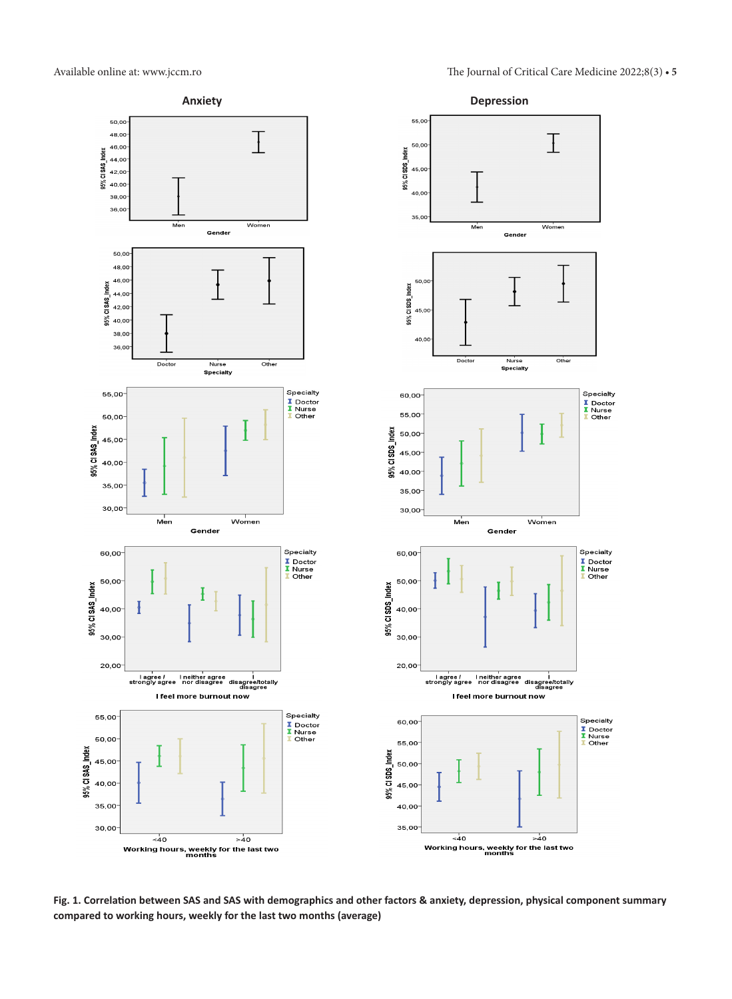Available online at: www.jccm.ro The Journal of Critical Care Medicine 2022;8(3) **• 5**



**Fig. 1. Correlation between SAS and SAS with demographics and other factors & anxiety, depression, physical component summary compared to working hours, weekly for the last two months (average)**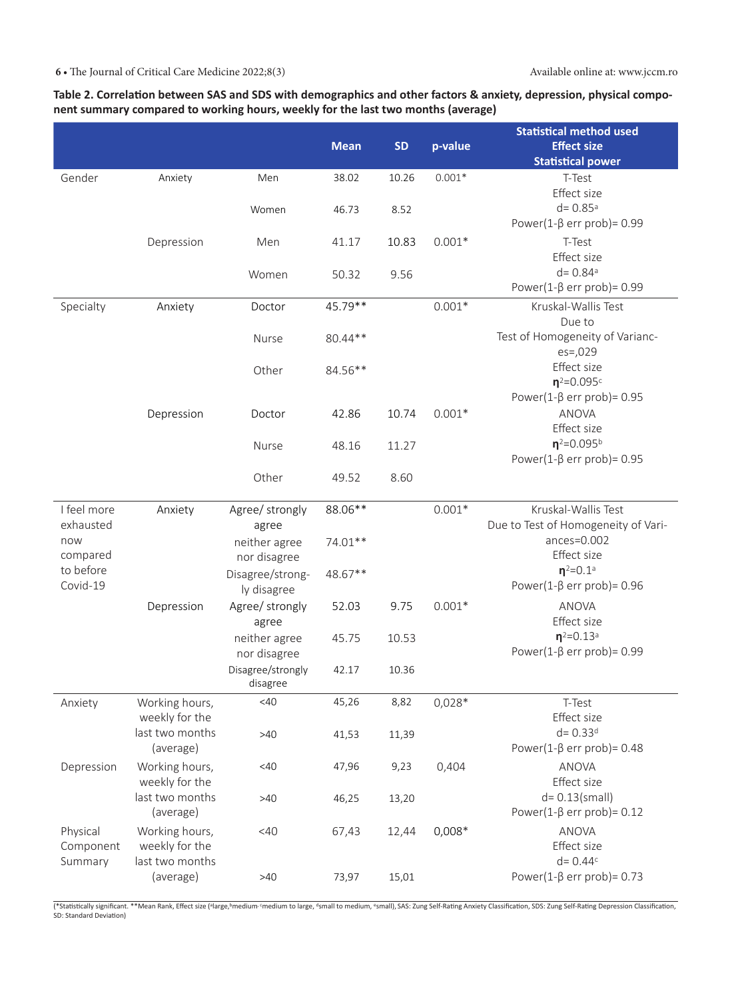# **Table 2. Correlation between SAS and SDS with demographics and other factors & anxiety, depression, physical component summary compared to working hours, weekly for the last two months (average)**

|                       |                 |                   |             |           |          | <b>Statistical method used</b>      |
|-----------------------|-----------------|-------------------|-------------|-----------|----------|-------------------------------------|
|                       |                 |                   | <b>Mean</b> | <b>SD</b> | p-value  | <b>Effect size</b>                  |
|                       |                 |                   |             |           |          | <b>Statistical power</b>            |
| Gender                | Anxiety         | Men               | 38.02       | 10.26     | $0.001*$ | T-Test                              |
|                       |                 |                   |             |           |          | Effect size                         |
|                       |                 | Women             | 46.73       | 8.52      |          | $d = 0.85$ <sup>a</sup>             |
|                       |                 |                   |             |           |          | Power(1- $\beta$ err prob)= 0.99    |
|                       | Depression      | Men               | 41.17       | 10.83     | $0.001*$ | T-Test                              |
|                       |                 |                   |             |           |          | Effect size                         |
|                       |                 | Women             | 50.32       | 9.56      |          | $d = 0.84$ <sup>a</sup>             |
|                       |                 |                   |             |           |          | Power(1- $\beta$ err prob)= 0.99    |
| Specialty             | Anxiety         | Doctor            | 45.79**     |           | $0.001*$ | Kruskal-Wallis Test                 |
|                       |                 |                   |             |           |          | Due to                              |
|                       |                 | Nurse             | 80.44**     |           |          | Test of Homogeneity of Varianc-     |
|                       |                 |                   |             |           |          | $es = 0.029$                        |
|                       |                 | Other             | 84.56**     |           |          | Effect size                         |
|                       |                 |                   |             |           |          | $n^2 = 0.095c$                      |
|                       |                 |                   |             |           |          | Power(1- $\beta$ err prob)= 0.95    |
|                       | Depression      | Doctor            | 42.86       | 10.74     | $0.001*$ | <b>ANOVA</b>                        |
|                       |                 |                   |             |           |          | Effect size                         |
|                       |                 | Nurse             | 48.16       | 11.27     |          | $n^{2}=0.095^{b}$                   |
|                       |                 |                   |             |           |          | Power(1- $\beta$ err prob)= 0.95    |
|                       |                 | Other             | 49.52       | 8.60      |          |                                     |
|                       |                 |                   |             |           |          |                                     |
| I feel more           | Anxiety         | Agree/ strongly   | 88.06**     |           | $0.001*$ | Kruskal-Wallis Test                 |
| exhausted             |                 | agree             |             |           |          | Due to Test of Homogeneity of Vari- |
| now                   |                 | neither agree     | 74.01**     |           |          | $ances = 0.002$<br>Effect size      |
| compared<br>to before |                 | nor disagree      |             |           |          | $n^2 = 0.1$ <sup>a</sup>            |
| Covid-19              |                 | Disagree/strong-  | 48.67**     |           |          | Power(1- $\beta$ err prob)= 0.96    |
|                       |                 | ly disagree       |             |           |          |                                     |
|                       | Depression      | Agree/ strongly   | 52.03       | 9.75      | $0.001*$ | <b>ANOVA</b>                        |
|                       |                 | agree             |             |           |          | Effect size                         |
|                       |                 | neither agree     | 45.75       | 10.53     |          | $n^2 = 0.13$ <sup>a</sup>           |
|                       |                 | nor disagree      |             |           |          | Power(1- $\beta$ err prob)= 0.99    |
|                       |                 | Disagree/strongly | 42.17       | 10.36     |          |                                     |
|                       |                 | disagree          |             |           |          |                                     |
| Anxiety               | Working hours,  | <40               | 45,26       | 8,82      | $0,028*$ | T-Test                              |
|                       | weekly for the  |                   |             |           |          | Effect size                         |
|                       | last two months | >40               | 41,53       | 11,39     |          | $d = 0.33d$                         |
|                       | (average)       |                   |             |           |          | Power(1- $\beta$ err prob)= 0.48    |
| Depression            | Working hours,  | <40               | 47,96       | 9,23      | 0,404    | <b>ANOVA</b>                        |
|                       | weekly for the  |                   |             |           |          | Effect size                         |
|                       | last two months | >40               | 46,25       | 13,20     |          | $d = 0.13$ (small)                  |
|                       | (average)       |                   |             |           |          | Power(1- $\beta$ err prob)= 0.12    |
| Physical              | Working hours,  | <40               | 67,43       | 12,44     | $0,008*$ | <b>ANOVA</b>                        |
| Component             | weekly for the  |                   |             |           |          | Effect size                         |
| Summary               | last two months |                   |             |           |          | $d = 0.44c$                         |
|                       | (average)       | $>40$             | 73,97       | 15,01     |          | Power(1- $\beta$ err prob)= 0.73    |

(\*Statistically significant. \*\*Mean Rank, Effect size (ªlarge,ʰmedium·medium to large, ªsmall to medium, ºsmall), SAS: Zung Self-Rating Anxiety Classification, SDS: Zung Self-Rating Depression Classification,<br>SD: Standard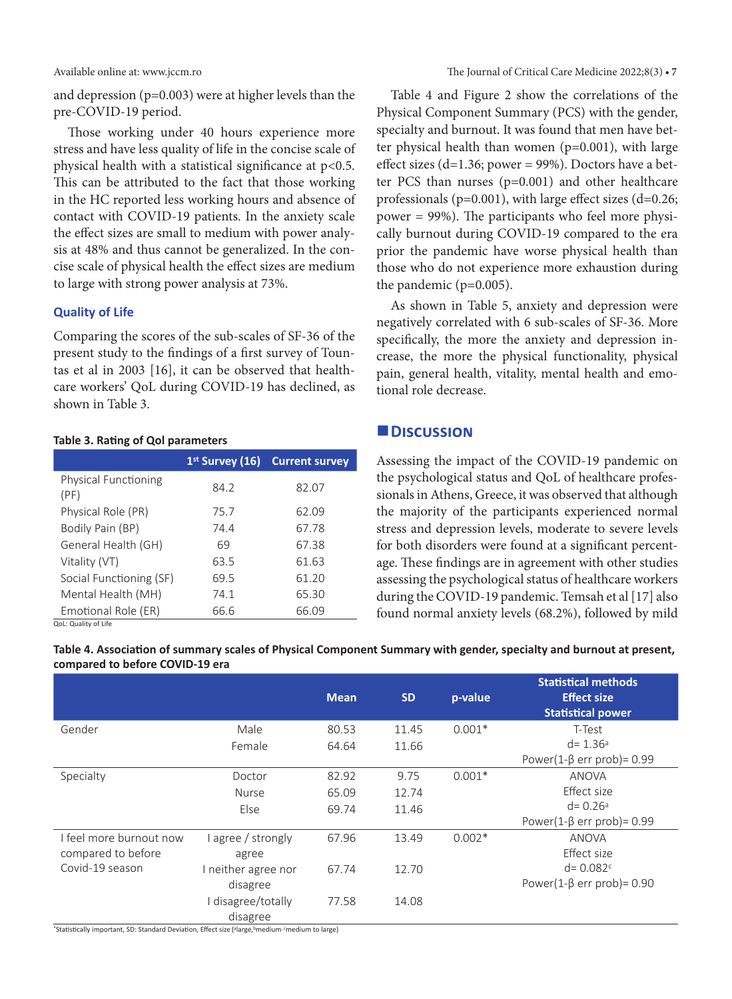and depression (p=0.003) were at higher levels than the pre-COVID-19 period.

Those working under 40 hours experience more stress and have less quality of life in the concise scale of physical health with a statistical significance at p<0.5. This can be attributed to the fact that those working in the HC reported less working hours and absence of contact with COVID-19 patients. In the anxiety scale the effect sizes are small to medium with power analysis at 48% and thus cannot be generalized. In the concise scale of physical health the effect sizes are medium to large with strong power analysis at 73%.

### **Quality of Life**

Comparing the scores of the sub-scales of SF-36 of the present study to the findings of a first survey of Tountas et al in 2003 [16], it can be observed that healthcare workers' QoL during COVID-19 has declined, as shown in Table 3.

### **Table 3. Rating of Qol parameters**

|                                     |      | 1 <sup>st</sup> Survey (16) Current survey |
|-------------------------------------|------|--------------------------------------------|
| <b>Physical Functioning</b><br>(PF) | 84.2 | 82.07                                      |
| Physical Role (PR)                  | 75.7 | 62.09                                      |
| Bodily Pain (BP)                    | 74.4 | 67.78                                      |
| General Health (GH)                 | 69   | 67.38                                      |
| Vitality (VT)                       | 63.5 | 61.63                                      |
| Social Functioning (SF)             | 69.5 | 61.20                                      |
| Mental Health (MH)                  | 74.1 | 65.30                                      |
| Emotional Role (ER)                 | 66.6 | 66.09                                      |

QoL: Quality of Life

Table 4 and Figure 2 show the correlations of the Physical Component Summary (PCS) with the gender, specialty and burnout. It was found that men have better physical health than women (p=0.001), with large effect sizes (d=1.36; power =  $99\%$ ). Doctors have a better PCS than nurses (p=0.001) and other healthcare professionals ( $p=0.001$ ), with large effect sizes ( $d=0.26$ ; power = 99%). The participants who feel more physically burnout during COVID-19 compared to the era prior the pandemic have worse physical health than those who do not experience more exhaustion during the pandemic (p=0.005).

As shown in Table 5, anxiety and depression were negatively correlated with 6 sub-scales of SF-36. More specifically, the more the anxiety and depression increase, the more the physical functionality, physical pain, general health, vitality, mental health and emotional role decrease.

# **Discussion**

Assessing the impact of the COVID-19 pandemic on the psychological status and QoL of healthcare professionals in Athens, Greece, it was observed that although the majority of the participants experienced normal stress and depression levels, moderate to severe levels for both disorders were found at a significant percentage. These findings are in agreement with other studies assessing the psychological status of healthcare workers during the COVID-19 pandemic. Temsah et al [17] also found normal anxiety levels (68.2%), followed by mild

**Table 4. Association of summary scales of Physical Component Summary with gender, specialty and burnout at present, compared to before COVID-19 era**

|                         |                     | <b>Mean</b> | <b>SD</b> | p-value  | <b>Statistical methods</b><br><b>Effect size</b><br><b>Statistical power</b> |
|-------------------------|---------------------|-------------|-----------|----------|------------------------------------------------------------------------------|
| Gender                  | Male                | 80.53       | 11.45     | $0.001*$ | T-Test                                                                       |
|                         | Female              | 64.64       | 11.66     |          | $d = 1.36a$                                                                  |
|                         |                     |             |           |          | Power(1- $\beta$ err prob)= 0.99                                             |
| Specialty               | Doctor              | 82.92       | 9.75      | $0.001*$ | <b>ANOVA</b>                                                                 |
|                         | <b>Nurse</b>        | 65.09       | 12.74     |          | Effect size                                                                  |
|                         | Else                | 69.74       | 11.46     |          | $d = 0.26a$                                                                  |
|                         |                     |             |           |          | Power(1- $\beta$ err prob)= 0.99                                             |
| I feel more burnout now | l agree / strongly  | 67.96       | 13.49     | $0.002*$ | ANOVA                                                                        |
| compared to before      | agree               |             |           |          | Effect size                                                                  |
| Covid-19 season         | I neither agree nor | 67.74       | 12.70     |          | $d = 0.082c$                                                                 |
|                         | disagree            |             |           |          | Power(1- $\beta$ err prob)= 0.90                                             |
|                         | I disagree/totally  | 77.58       | 14.08     |          |                                                                              |
|                         | disagree            |             |           |          |                                                                              |

\*Statistically important, SD: Standard Deviation, Effect size (alarge, bmedium, cmedium to large)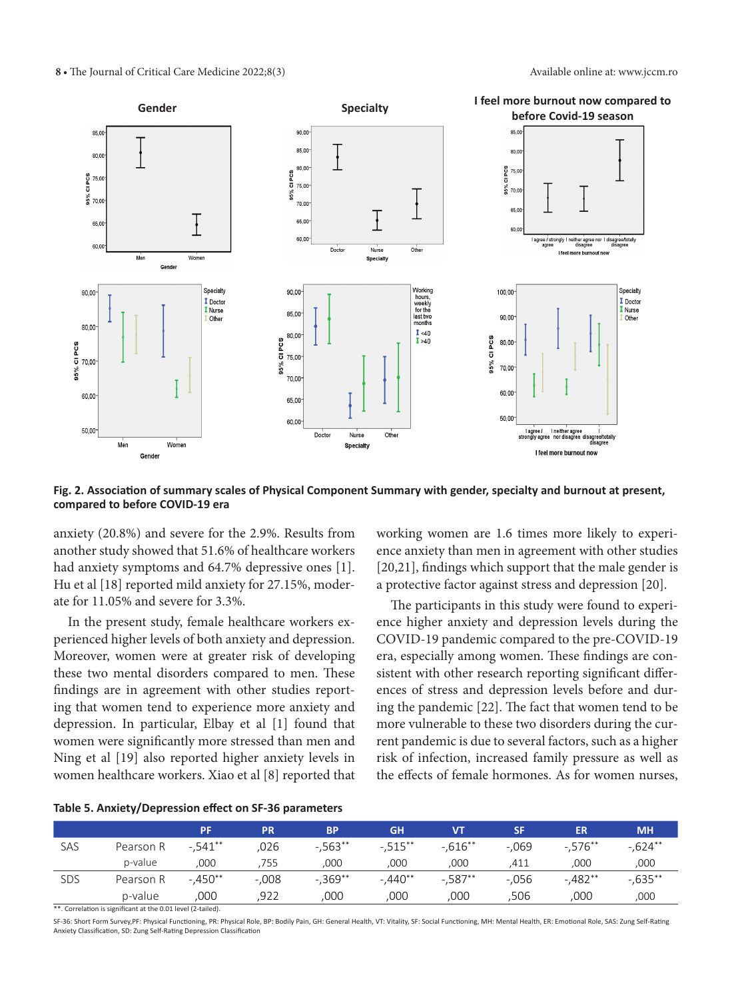

**Fig. 2. Association of summary scales of Physical Component Summary with gender, specialty and burnout at present, compared to before COVID-19 era**

anxiety (20.8%) and severe for the 2.9%. Results from another study showed that 51.6% of healthcare workers had anxiety symptoms and 64.7% depressive ones [1]. Hu et al [18] reported mild anxiety for 27.15%, moderate for 11.05% and severe for 3.3%.

In the present study, female healthcare workers experienced higher levels of both anxiety and depression. Moreover, women were at greater risk of developing these two mental disorders compared to men. These findings are in agreement with other studies reporting that women tend to experience more anxiety and depression. In particular, Elbay et al [1] found that women were significantly more stressed than men and Ning et al [19] also reported higher anxiety levels in women healthcare workers. Xiao et al [8] reported that working women are 1.6 times more likely to experience anxiety than men in agreement with other studies [20,21], findings which support that the male gender is a protective factor against stress and depression [20].

The participants in this study were found to experience higher anxiety and depression levels during the COVID-19 pandemic compared to the pre-COVID-19 era, especially among women. These findings are consistent with other research reporting significant differences of stress and depression levels before and during the pandemic [22]. The fact that women tend to be more vulnerable to these two disorders during the current pandemic is due to several factors, such as a higher risk of infection, increased family pressure as well as the effects of female hormones. As for women nurses,

|  | Table 5. Anxiety/Depression effect on SF-36 parameters |  |  |  |
|--|--------------------------------------------------------|--|--|--|
|--|--------------------------------------------------------|--|--|--|

|     |           | <b>PF</b> | <b>PR</b> | <b>BP</b>   | <b>GH</b> | <b>VT</b>  | <b>SF</b> | <b>ER</b>  | <b>MH</b> |
|-----|-----------|-----------|-----------|-------------|-----------|------------|-----------|------------|-----------|
| SAS | Pearson R | $-.541**$ | .026      | $-.563**$   | $-.515**$ | $-0.616**$ | $-.069$   | $-.576**$  | $-.624**$ |
|     | p-value   | ,000      | 755       | ,000        | ,000      | 000        | .411      | ,000       | ,000      |
| SDS | Pearson R | $-.450**$ | $-.008$   | $-0.369$ ** | $-.440**$ | $-0.587**$ | $-0.056$  | $-0.482**$ | $-635***$ |
|     | p-value   | 000       | 922       | 000         | 000       | 000        | ,506      | 000        | ,000      |

\*\*. Correlation is significant at the 0.01 level (2-tailed).

SF-36: Short Form Survey,PF: Physical Functioning, PR: Physical Role, BP: Bodily Pain, GH: General Health, VT: Vitality, SF: Social Functioning, MH: Mental Health, ER: Emotional Role, SAS: Zung Self-Rating Anxiety Classification, SD: Zung Self-Rating Depression Classification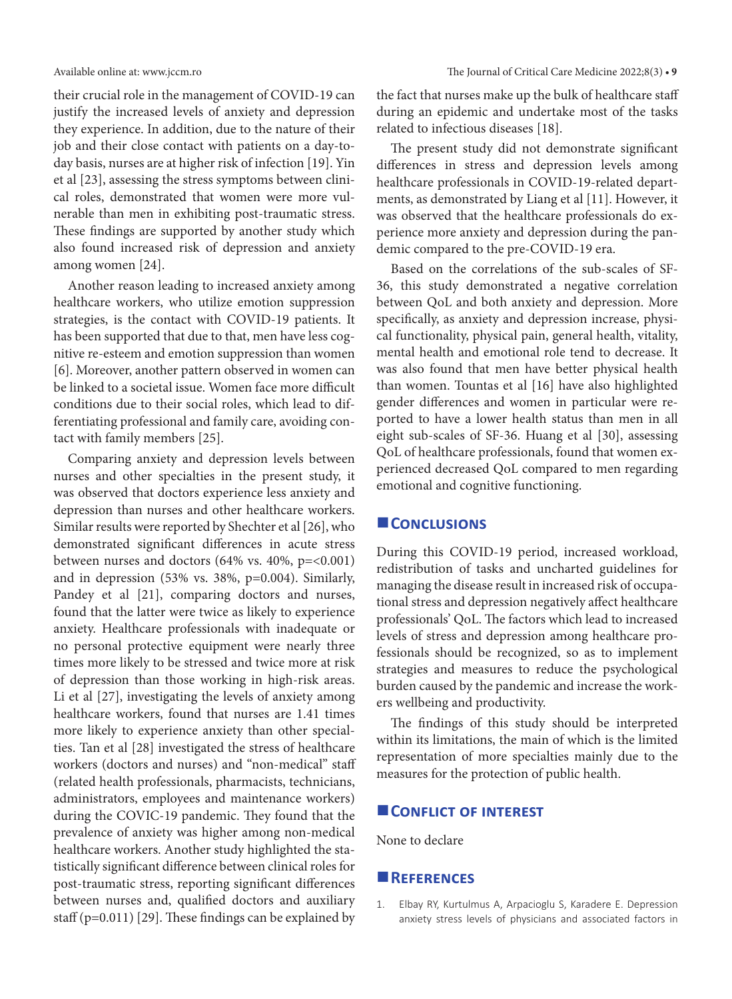their crucial role in the management of COVID-19 can justify the increased levels of anxiety and depression they experience. In addition, due to the nature of their job and their close contact with patients on a day-today basis, nurses are at higher risk of infection [19]. Yin et al [23], assessing the stress symptoms between clinical roles, demonstrated that women were more vulnerable than men in exhibiting post-traumatic stress. These findings are supported by another study which also found increased risk of depression and anxiety among women [24].

Another reason leading to increased anxiety among healthcare workers, who utilize emotion suppression strategies, is the contact with COVID-19 patients. It has been supported that due to that, men have less cognitive re-esteem and emotion suppression than women [6]. Moreover, another pattern observed in women can be linked to a societal issue. Women face more difficult conditions due to their social roles, which lead to differentiating professional and family care, avoiding contact with family members [25].

Comparing anxiety and depression levels between nurses and other specialties in the present study, it was observed that doctors experience less anxiety and depression than nurses and other healthcare workers. Similar results were reported by Shechter et al [26], who demonstrated significant differences in acute stress between nurses and doctors  $(64\% \text{ vs. } 40\%, \text{ p} = <0.001)$ and in depression (53% vs. 38%, p=0.004). Similarly, Pandey et al [21], comparing doctors and nurses, found that the latter were twice as likely to experience anxiety. Healthcare professionals with inadequate or no personal protective equipment were nearly three times more likely to be stressed and twice more at risk of depression than those working in high-risk areas. Li et al [27], investigating the levels of anxiety among healthcare workers, found that nurses are 1.41 times more likely to experience anxiety than other specialties. Tan et al [28] investigated the stress of healthcare workers (doctors and nurses) and "non-medical" staff (related health professionals, pharmacists, technicians, administrators, employees and maintenance workers) during the COVIC-19 pandemic. They found that the prevalence of anxiety was higher among non-medical healthcare workers. Another study highlighted the statistically significant difference between clinical roles for post-traumatic stress, reporting significant differences between nurses and, qualified doctors and auxiliary staff (p=0.011) [29]. These findings can be explained by

the fact that nurses make up the bulk of healthcare staff during an epidemic and undertake most of the tasks related to infectious diseases [18].

The present study did not demonstrate significant differences in stress and depression levels among healthcare professionals in COVID-19-related departments, as demonstrated by Liang et al [11]. However, it was observed that the healthcare professionals do experience more anxiety and depression during the pandemic compared to the pre-COVID-19 era.

Based on the correlations of the sub-scales of SF-36, this study demonstrated a negative correlation between QoL and both anxiety and depression. More specifically, as anxiety and depression increase, physical functionality, physical pain, general health, vitality, mental health and emotional role tend to decrease. It was also found that men have better physical health than women. Tountas et al [16] have also highlighted gender differences and women in particular were reported to have a lower health status than men in all eight sub-scales of SF-36. Huang et al [30], assessing QoL of healthcare professionals, found that women experienced decreased QoL compared to men regarding emotional and cognitive functioning.

### **Conclusions**

During this COVID-19 period, increased workload, redistribution of tasks and uncharted guidelines for managing the disease result in increased risk of occupational stress and depression negatively affect healthcare professionals' QoL. The factors which lead to increased levels of stress and depression among healthcare professionals should be recognized, so as to implement strategies and measures to reduce the psychological burden caused by the pandemic and increase the workers wellbeing and productivity.

The findings of this study should be interpreted within its limitations, the main of which is the limited representation of more specialties mainly due to the measures for the protection of public health.

### **CONFLICT OF INTEREST**

None to declare

### **References**

1. Elbay RY, Kurtulmus A, Arpacioglu S, Karadere E. Depression anxiety stress levels of physicians and associated factors in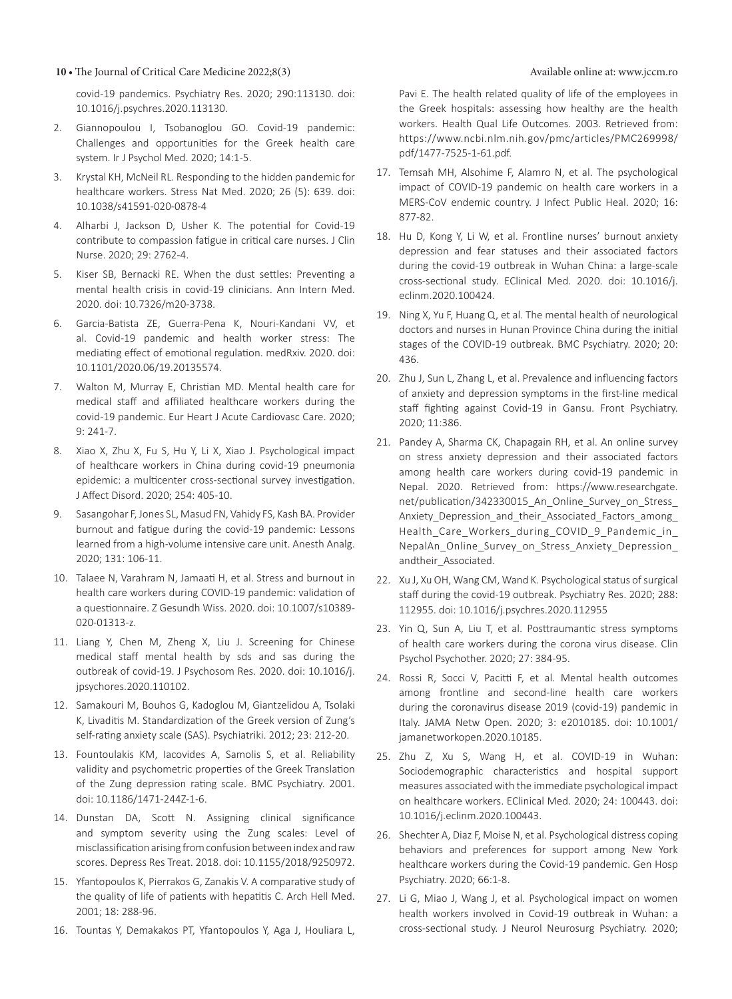### **10 •** The Journal of Critical Care Medicine 2022;8(3) Available online at: www.jccm.ro

covid-19 pandemics. Psychiatry Res. 2020; 290:113130. doi: 10.1016/j.psychres.2020.113130.

- 2. Giannopoulou I, Tsobanoglou GO. Covid-19 pandemic: Challenges and opportunities for the Greek health care system. Ir J Psychol Med. 2020; 14:1-5.
- 3. Krystal KH, McNeil RL. Responding to the hidden pandemic for healthcare workers. Stress Nat Med. 2020; 26 (5): 639. doi: 10.1038/s41591-020-0878-4
- 4. Alharbi J, Jackson D, Usher K. The potential for Covid-19 contribute to compassion fatigue in critical care nurses. J Clin Nurse. 2020; 29: 2762-4.
- 5. Kiser SB, Bernacki RE. When the dust settles: Preventing a mental health crisis in covid-19 clinicians. Ann Intern Med. 2020. doi: 10.7326/m20-3738.
- 6. Garcia-Batista ZE, Guerra-Pena K, Nouri-Kandani VV, et al. Covid-19 pandemic and health worker stress: The mediating effect of emotional regulation. medRxiv. 2020. doi: 10.1101/2020.06/19.20135574.
- 7. Walton M, Murray E, Christian MD. Mental health care for medical staff and affiliated healthcare workers during the covid-19 pandemic. Eur Heart J Acute Cardiovasc Care. 2020; 9: 241-7.
- 8. Xiao X, Zhu X, Fu S, Hu Y, Li X, Xiao J. Psychological impact of healthcare workers in China during covid-19 pneumonia epidemic: a multicenter cross-sectional survey investigation. J Affect Disord. 2020; 254: 405-10.
- 9. Sasangohar F, Jones SL, Masud FN, Vahidy FS, Kash BA. Provider burnout and fatigue during the covid-19 pandemic: Lessons learned from a high-volume intensive care unit. Anesth Analg. 2020; 131: 106-11.
- 10. Talaee N, Varahram N, Jamaati H, et al. Stress and burnout in health care workers during COVID-19 pandemic: validation of a questionnaire. Z Gesundh Wiss. 2020. doi: 10.1007/s10389- 020-01313-z.
- 11. Liang Y, Chen M, Zheng X, Liu J. Screening for Chinese medical staff mental health by sds and sas during the outbreak of covid-19. J Psychosom Res. 2020. doi: 10.1016/j. jpsychores.2020.110102.
- 12. Samakouri M, Bouhos G, Kadoglou M, Giantzelidou A, Tsolaki K, Livaditis M. Standardization of the Greek version of Zung's self-rating anxiety scale (SAS). Psychiatriki. 2012; 23: 212-20.
- 13. Fountoulakis KM, Iacovides A, Samolis S, et al. Reliability validity and psychometric properties of the Greek Translation of the Zung depression rating scale. BMC Psychiatry. 2001. doi: 10.1186/1471-244Z-1-6.
- 14. Dunstan DA, Scott N. Assigning clinical significance and symptom severity using the Zung scales: Level of misclassification arising fromconfusion between index and raw scores. Depress Res Treat. 2018. doi: 10.1155/2018/9250972.
- 15. Yfantopoulos K, Pierrakos G, Zanakis V. A comparative study of the quality of life of patients with hepatitis C. Arch Hell Med. 2001; 18: 288-96.
- 16. Tountas Y, Demakakos PT, Yfantopoulos Y, Aga J, Houliara L,

Pavi E. The health related quality of life of the employees in the Greek hospitals: assessing how healthy are the health workers. Health Qual Life Outcomes. 2003. Retrieved from: [https://www.ncbi.nlm.nih.gov/pmc/articles/PMC269998/](https://www.ncbi.nlm.nih.gov/pmc/articles/PMC269998/pdf/1477-7525-1-61.pdf) [pdf/1477-7525-1-61.pdf](https://www.ncbi.nlm.nih.gov/pmc/articles/PMC269998/pdf/1477-7525-1-61.pdf).

- 17. Temsah MH, Alsohime F, Alamro N, et al. The psychological impact of COVID-19 pandemic on health care workers in a MERS-CoV endemic country. J Infect Public Heal. 2020; 16: 877-82.
- 18. Hu D, Kong Y, Li W, et al. Frontline nurses' burnout anxiety depression and fear statuses and their associated factors during the covid-19 outbreak in Wuhan China: a large-scale cross-sectional study. EClinical Med. 2020. doi: 10.1016/j. eclinm.2020.100424.
- 19. Ning X, Yu F, Huang Q, et al. The mental health of neurological doctors and nurses in Hunan Province China during the initial stages of the COVID-19 outbreak. BMC Psychiatry. 2020; 20: 436.
- 20. Zhu J, Sun L, Zhang L, et al. Prevalence and influencing factors of anxiety and depression symptoms in the first-line medical staff fighting against Covid-19 in Gansu. Front Psychiatry. 2020; 11:386.
- 21. Pandey A, Sharma CK, Chapagain RH, et al. An online survey on stress anxiety depression and their associated factors among health care workers during covid-19 pandemic in Nepal. 2020. Retrieved from: [https://www.researchgate.](https://www.researchgate.net/publication/342330015_An_Online_Survey_on_Stress_Anxiety_Depression_and_their_Associated_Factors_among_Health_Care_Workers_during_COVID_9_Pandemic_in_NepalAn_Online_Survey_on_Stress_Anxiety_Depression_andtheir_Associated) [net/publication/342330015\\_An\\_Online\\_Survey\\_on\\_Stress\\_](https://www.researchgate.net/publication/342330015_An_Online_Survey_on_Stress_Anxiety_Depression_and_their_Associated_Factors_among_Health_Care_Workers_during_COVID_9_Pandemic_in_NepalAn_Online_Survey_on_Stress_Anxiety_Depression_andtheir_Associated) Anxiety Depression and their Associated Factors among Health Care Workers during COVID 9 Pandemic in [NepalAn\\_Online\\_Survey\\_on\\_Stress\\_Anxiety\\_Depression\\_](https://www.researchgate.net/publication/342330015_An_Online_Survey_on_Stress_Anxiety_Depression_and_their_Associated_Factors_among_Health_Care_Workers_during_COVID_9_Pandemic_in_NepalAn_Online_Survey_on_Stress_Anxiety_Depression_andtheir_Associated) andtheir Associated.
- 22. Xu J, Xu OH, Wang CM, Wand K. Psychological status of surgical staff during the covid-19 outbreak. Psychiatry Res. 2020; 288: 112955. doi: 10.1016/j.psychres.2020.112955
- 23. Yin Q, Sun A, Liu T, et al. Posttraumantic stress symptoms of health care workers during the corona virus disease. Clin Psychol Psychother. 2020; 27: 384-95.
- 24. Rossi R, Socci V, Pacitti F, et al. Mental health outcomes among frontline and second-line health care workers during the coronavirus disease 2019 (covid-19) pandemic in Italy. JAMA Netw Open. 2020; 3: e2010185. doi: 10.1001/ jamanetworkopen.2020.10185.
- 25. Zhu Z, Xu S, Wang H, et al. COVID-19 in Wuhan: Sociodemographic characteristics and hospital support measures associatedwith the immediate psychological impact on healthcare workers. EClinical Med. 2020; 24: 100443. doi: 10.1016/j.eclinm.2020.100443.
- 26. Shechter A, Diaz F, Moise N, et al. Psychological distress coping behaviors and preferences for support among New York healthcare workers during the Covid-19 pandemic. Gen Hosp Psychiatry. 2020; 66:1-8.
- 27. Li G, Miao J, Wang J, et al. Psychological impact on women health workers involved in Covid-19 outbreak in Wuhan: a cross-sectional study. J Neurol Neurosurg Psychiatry. 2020;